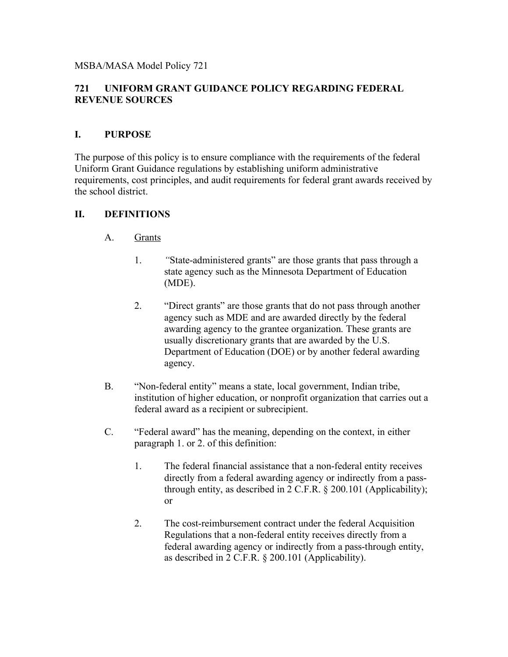MSBA/MASA Model Policy 721

# **721 UNIFORM GRANT GUIDANCE POLICY REGARDING FEDERAL REVENUE SOURCES**

### **I. PURPOSE**

The purpose of this policy is to ensure compliance with the requirements of the federal Uniform Grant Guidance regulations by establishing uniform administrative requirements, cost principles, and audit requirements for federal grant awards received by the school district.

# **II. DEFINITIONS**

- A. Grants
	- 1. *"*State-administered grants" are those grants that pass through a state agency such as the Minnesota Department of Education (MDE).
	- 2. "Direct grants" are those grants that do not pass through another agency such as MDE and are awarded directly by the federal awarding agency to the grantee organization. These grants are usually discretionary grants that are awarded by the U.S. Department of Education (DOE) or by another federal awarding agency.
- B. "Non-federal entity" means a state, local government, Indian tribe, institution of higher education, or nonprofit organization that carries out a federal award as a recipient or subrecipient.
- C. "Federal award" has the meaning, depending on the context, in either paragraph 1. or 2. of this definition:
	- 1. The federal financial assistance that a non-federal entity receives directly from a federal awarding agency or indirectly from a passthrough entity, as described in 2 C.F.R. § 200.101 (Applicability); or
	- 2. The cost-reimbursement contract under the federal Acquisition Regulations that a non-federal entity receives directly from a federal awarding agency or indirectly from a pass-through entity, as described in 2 C.F.R. § 200.101 (Applicability).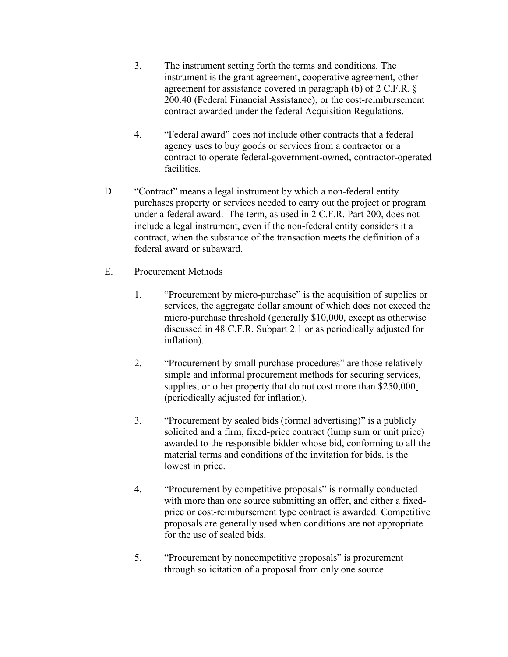- 3. The instrument setting forth the terms and conditions. The instrument is the grant agreement, cooperative agreement, other agreement for assistance covered in paragraph (b) of 2 C.F.R. § 200.40 (Federal Financial Assistance), or the cost-reimbursement contract awarded under the federal Acquisition Regulations.
- 4. "Federal award" does not include other contracts that a federal agency uses to buy goods or services from a contractor or a contract to operate federal-government-owned, contractor-operated facilities.
- D. "Contract" means a legal instrument by which a non-federal entity purchases property or services needed to carry out the project or program under a federal award. The term, as used in 2 C.F.R. Part 200, does not include a legal instrument, even if the non-federal entity considers it a contract, when the substance of the transaction meets the definition of a federal award or subaward.

# E. Procurement Methods

- 1. "Procurement by micro-purchase" is the acquisition of supplies or services, the aggregate dollar amount of which does not exceed the micro-purchase threshold (generally \$10,000, except as otherwise discussed in 48 C.F.R. Subpart 2.1 or as periodically adjusted for inflation).
- 2. "Procurement by small purchase procedures" are those relatively simple and informal procurement methods for securing services, supplies, or other property that do not cost more than \$250,000 (periodically adjusted for inflation).
- 3. "Procurement by sealed bids (formal advertising)" is a publicly solicited and a firm, fixed-price contract (lump sum or unit price) awarded to the responsible bidder whose bid, conforming to all the material terms and conditions of the invitation for bids, is the lowest in price.
- 4. "Procurement by competitive proposals" is normally conducted with more than one source submitting an offer, and either a fixedprice or cost-reimbursement type contract is awarded. Competitive proposals are generally used when conditions are not appropriate for the use of sealed bids.
- 5. "Procurement by noncompetitive proposals" is procurement through solicitation of a proposal from only one source.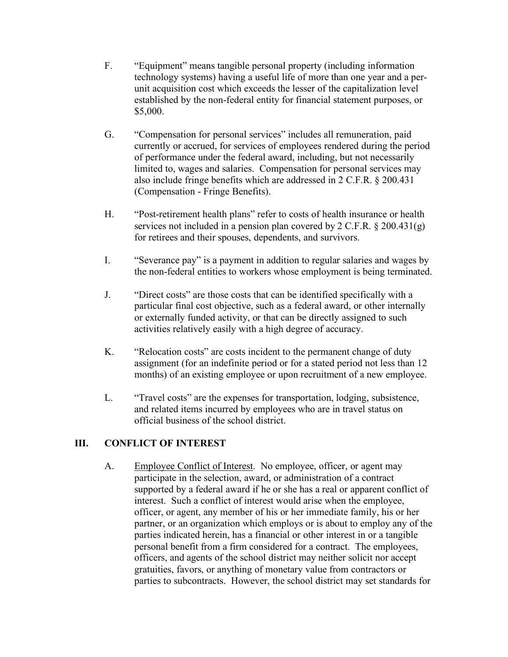- F. "Equipment" means tangible personal property (including information technology systems) having a useful life of more than one year and a perunit acquisition cost which exceeds the lesser of the capitalization level established by the non-federal entity for financial statement purposes, or \$5,000.
- G. "Compensation for personal services" includes all remuneration, paid currently or accrued, for services of employees rendered during the period of performance under the federal award, including, but not necessarily limited to, wages and salaries. Compensation for personal services may also include fringe benefits which are addressed in 2 C.F.R. § 200.431 (Compensation - Fringe Benefits).
- H. "Post-retirement health plans" refer to costs of health insurance or health services not included in a pension plan covered by 2 C.F.R.  $\S 200.431(g)$ for retirees and their spouses, dependents, and survivors.
- I. "Severance pay" is a payment in addition to regular salaries and wages by the non-federal entities to workers whose employment is being terminated.
- J. "Direct costs" are those costs that can be identified specifically with a particular final cost objective, such as a federal award, or other internally or externally funded activity, or that can be directly assigned to such activities relatively easily with a high degree of accuracy.
- K. "Relocation costs" are costs incident to the permanent change of duty assignment (for an indefinite period or for a stated period not less than 12 months) of an existing employee or upon recruitment of a new employee.
- L. "Travel costs" are the expenses for transportation, lodging, subsistence, and related items incurred by employees who are in travel status on official business of the school district.

### **III. CONFLICT OF INTEREST**

A. Employee Conflict of Interest. No employee, officer, or agent may participate in the selection, award, or administration of a contract supported by a federal award if he or she has a real or apparent conflict of interest. Such a conflict of interest would arise when the employee, officer, or agent, any member of his or her immediate family, his or her partner, or an organization which employs or is about to employ any of the parties indicated herein, has a financial or other interest in or a tangible personal benefit from a firm considered for a contract. The employees, officers, and agents of the school district may neither solicit nor accept gratuities, favors, or anything of monetary value from contractors or parties to subcontracts. However, the school district may set standards for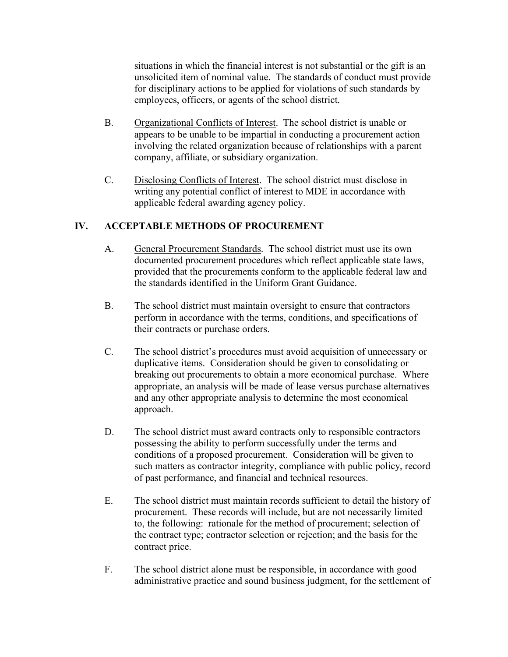situations in which the financial interest is not substantial or the gift is an unsolicited item of nominal value. The standards of conduct must provide for disciplinary actions to be applied for violations of such standards by employees, officers, or agents of the school district.

- B. Organizational Conflicts of Interest. The school district is unable or appears to be unable to be impartial in conducting a procurement action involving the related organization because of relationships with a parent company, affiliate, or subsidiary organization.
- C. Disclosing Conflicts of Interest. The school district must disclose in writing any potential conflict of interest to MDE in accordance with applicable federal awarding agency policy.

# **IV. ACCEPTABLE METHODS OF PROCUREMENT**

- A. General Procurement Standards. The school district must use its own documented procurement procedures which reflect applicable state laws, provided that the procurements conform to the applicable federal law and the standards identified in the Uniform Grant Guidance.
- B. The school district must maintain oversight to ensure that contractors perform in accordance with the terms, conditions, and specifications of their contracts or purchase orders.
- C. The school district's procedures must avoid acquisition of unnecessary or duplicative items. Consideration should be given to consolidating or breaking out procurements to obtain a more economical purchase. Where appropriate, an analysis will be made of lease versus purchase alternatives and any other appropriate analysis to determine the most economical approach.
- D. The school district must award contracts only to responsible contractors possessing the ability to perform successfully under the terms and conditions of a proposed procurement. Consideration will be given to such matters as contractor integrity, compliance with public policy, record of past performance, and financial and technical resources.
- E. The school district must maintain records sufficient to detail the history of procurement. These records will include, but are not necessarily limited to, the following: rationale for the method of procurement; selection of the contract type; contractor selection or rejection; and the basis for the contract price.
- F. The school district alone must be responsible, in accordance with good administrative practice and sound business judgment, for the settlement of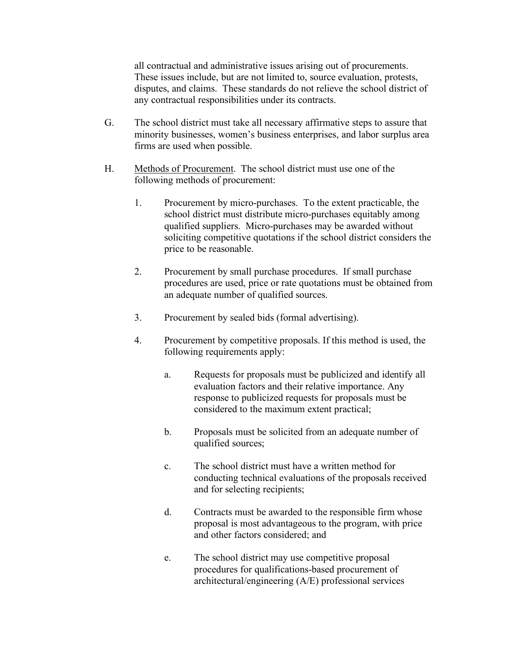all contractual and administrative issues arising out of procurements. These issues include, but are not limited to, source evaluation, protests, disputes, and claims. These standards do not relieve the school district of any contractual responsibilities under its contracts.

- G. The school district must take all necessary affirmative steps to assure that minority businesses, women's business enterprises, and labor surplus area firms are used when possible.
- H. Methods of Procurement. The school district must use one of the following methods of procurement:
	- 1. Procurement by micro-purchases. To the extent practicable, the school district must distribute micro-purchases equitably among qualified suppliers. Micro-purchases may be awarded without soliciting competitive quotations if the school district considers the price to be reasonable.
	- 2. Procurement by small purchase procedures. If small purchase procedures are used, price or rate quotations must be obtained from an adequate number of qualified sources.
	- 3. Procurement by sealed bids (formal advertising).
	- 4. Procurement by competitive proposals. If this method is used, the following requirements apply:
		- a. Requests for proposals must be publicized and identify all evaluation factors and their relative importance. Any response to publicized requests for proposals must be considered to the maximum extent practical;
		- b. Proposals must be solicited from an adequate number of qualified sources;
		- c. The school district must have a written method for conducting technical evaluations of the proposals received and for selecting recipients;
		- d. Contracts must be awarded to the responsible firm whose proposal is most advantageous to the program, with price and other factors considered; and
		- e. The school district may use competitive proposal procedures for qualifications-based procurement of architectural/engineering (A/E) professional services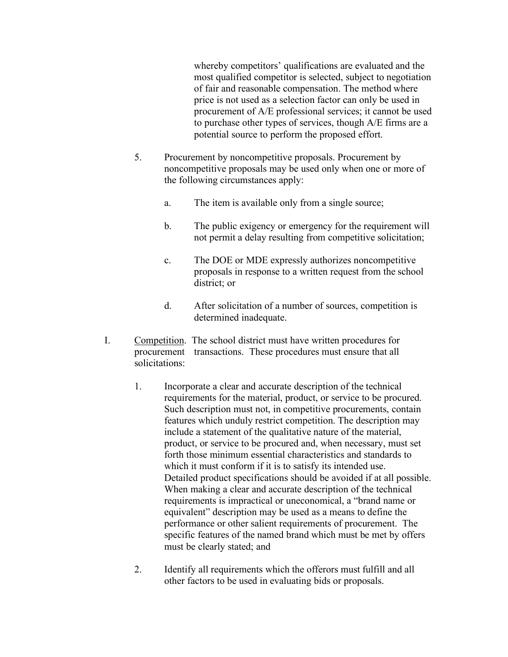whereby competitors' qualifications are evaluated and the most qualified competitor is selected, subject to negotiation of fair and reasonable compensation. The method where price is not used as a selection factor can only be used in procurement of A/E professional services; it cannot be used to purchase other types of services, though A/E firms are a potential source to perform the proposed effort.

- 5. Procurement by noncompetitive proposals. Procurement by noncompetitive proposals may be used only when one or more of the following circumstances apply:
	- a. The item is available only from a single source;
	- b. The public exigency or emergency for the requirement will not permit a delay resulting from competitive solicitation;
	- c. The DOE or MDE expressly authorizes noncompetitive proposals in response to a written request from the school district; or
	- d. After solicitation of a number of sources, competition is determined inadequate.
- I. Competition. The school district must have written procedures for procurement transactions. These procedures must ensure that all solicitations:
	- 1. Incorporate a clear and accurate description of the technical requirements for the material, product, or service to be procured. Such description must not, in competitive procurements, contain features which unduly restrict competition. The description may include a statement of the qualitative nature of the material, product, or service to be procured and, when necessary, must set forth those minimum essential characteristics and standards to which it must conform if it is to satisfy its intended use. Detailed product specifications should be avoided if at all possible. When making a clear and accurate description of the technical requirements is impractical or uneconomical, a "brand name or equivalent" description may be used as a means to define the performance or other salient requirements of procurement. The specific features of the named brand which must be met by offers must be clearly stated; and
	- 2. Identify all requirements which the offerors must fulfill and all other factors to be used in evaluating bids or proposals.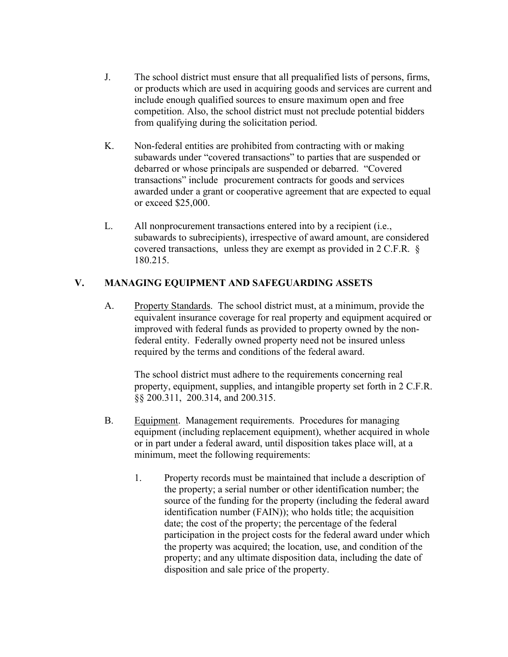- J. The school district must ensure that all prequalified lists of persons, firms, or products which are used in acquiring goods and services are current and include enough qualified sources to ensure maximum open and free competition. Also, the school district must not preclude potential bidders from qualifying during the solicitation period.
- K. Non-federal entities are prohibited from contracting with or making subawards under "covered transactions" to parties that are suspended or debarred or whose principals are suspended or debarred. "Covered transactions" include procurement contracts for goods and services awarded under a grant or cooperative agreement that are expected to equal or exceed \$25,000.
- L. All nonprocurement transactions entered into by a recipient (i.e., subawards to subrecipients), irrespective of award amount, are considered covered transactions, unless they are exempt as provided in 2 C.F.R. § 180.215.

# **V. MANAGING EQUIPMENT AND SAFEGUARDING ASSETS**

A. Property Standards. The school district must, at a minimum, provide the equivalent insurance coverage for real property and equipment acquired or improved with federal funds as provided to property owned by the nonfederal entity. Federally owned property need not be insured unless required by the terms and conditions of the federal award.

The school district must adhere to the requirements concerning real property, equipment, supplies, and intangible property set forth in 2 C.F.R. §§ 200.311, 200.314, and 200.315.

- B. Equipment. Management requirements. Procedures for managing equipment (including replacement equipment), whether acquired in whole or in part under a federal award, until disposition takes place will, at a minimum, meet the following requirements:
	- 1. Property records must be maintained that include a description of the property; a serial number or other identification number; the source of the funding for the property (including the federal award identification number (FAIN)); who holds title; the acquisition date; the cost of the property; the percentage of the federal participation in the project costs for the federal award under which the property was acquired; the location, use, and condition of the property; and any ultimate disposition data, including the date of disposition and sale price of the property.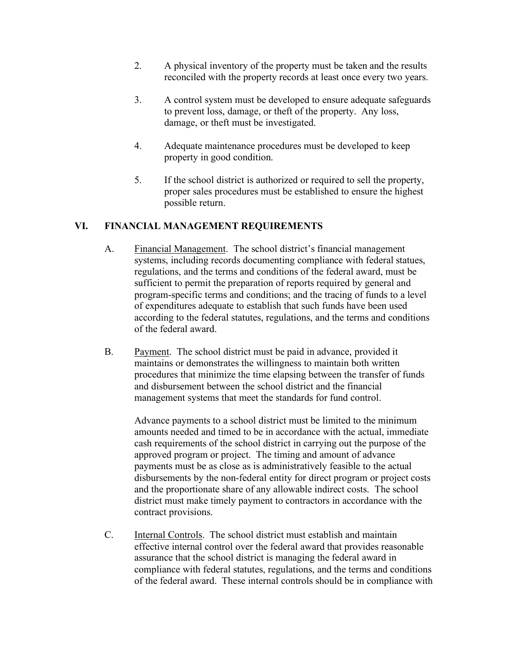- 2. A physical inventory of the property must be taken and the results reconciled with the property records at least once every two years.
- 3. A control system must be developed to ensure adequate safeguards to prevent loss, damage, or theft of the property. Any loss, damage, or theft must be investigated.
- 4. Adequate maintenance procedures must be developed to keep property in good condition.
- 5. If the school district is authorized or required to sell the property, proper sales procedures must be established to ensure the highest possible return.

# **VI. FINANCIAL MANAGEMENT REQUIREMENTS**

- A. Financial Management. The school district's financial management systems, including records documenting compliance with federal statues, regulations, and the terms and conditions of the federal award, must be sufficient to permit the preparation of reports required by general and program-specific terms and conditions; and the tracing of funds to a level of expenditures adequate to establish that such funds have been used according to the federal statutes, regulations, and the terms and conditions of the federal award.
- B. Payment. The school district must be paid in advance, provided it maintains or demonstrates the willingness to maintain both written procedures that minimize the time elapsing between the transfer of funds and disbursement between the school district and the financial management systems that meet the standards for fund control.

Advance payments to a school district must be limited to the minimum amounts needed and timed to be in accordance with the actual, immediate cash requirements of the school district in carrying out the purpose of the approved program or project. The timing and amount of advance payments must be as close as is administratively feasible to the actual disbursements by the non-federal entity for direct program or project costs and the proportionate share of any allowable indirect costs. The school district must make timely payment to contractors in accordance with the contract provisions.

C. Internal Controls. The school district must establish and maintain effective internal control over the federal award that provides reasonable assurance that the school district is managing the federal award in compliance with federal statutes, regulations, and the terms and conditions of the federal award. These internal controls should be in compliance with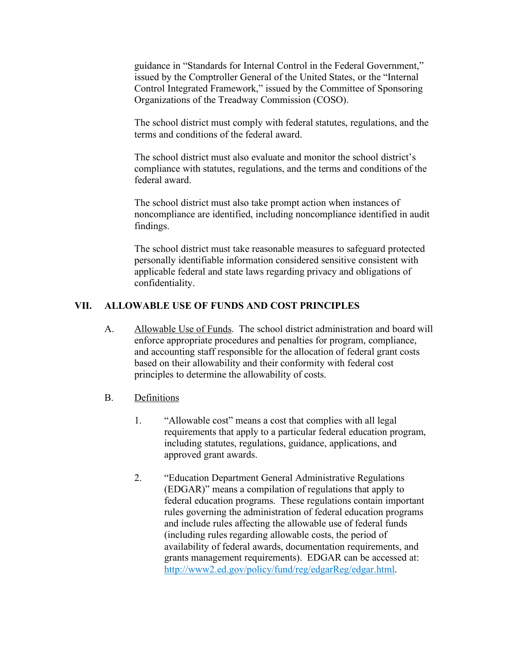guidance in "Standards for Internal Control in the Federal Government," issued by the Comptroller General of the United States, or the "Internal Control Integrated Framework," issued by the Committee of Sponsoring Organizations of the Treadway Commission (COSO).

The school district must comply with federal statutes, regulations, and the terms and conditions of the federal award.

The school district must also evaluate and monitor the school district's compliance with statutes, regulations, and the terms and conditions of the federal award.

The school district must also take prompt action when instances of noncompliance are identified, including noncompliance identified in audit findings.

The school district must take reasonable measures to safeguard protected personally identifiable information considered sensitive consistent with applicable federal and state laws regarding privacy and obligations of confidentiality.

### **VII. ALLOWABLE USE OF FUNDS AND COST PRINCIPLES**

A. Allowable Use of Funds. The school district administration and board will enforce appropriate procedures and penalties for program, compliance, and accounting staff responsible for the allocation of federal grant costs based on their allowability and their conformity with federal cost principles to determine the allowability of costs.

### B. Definitions

- 1. "Allowable cost" means a cost that complies with all legal requirements that apply to a particular federal education program, including statutes, regulations, guidance, applications, and approved grant awards.
- 2. "Education Department General Administrative Regulations (EDGAR)" means a compilation of regulations that apply to federal education programs. These regulations contain important rules governing the administration of federal education programs and include rules affecting the allowable use of federal funds (including rules regarding allowable costs, the period of availability of federal awards, documentation requirements, and grants management requirements). EDGAR can be accessed at: http://www2.ed.gov/policy/fund/reg/edgarReg/edgar.html.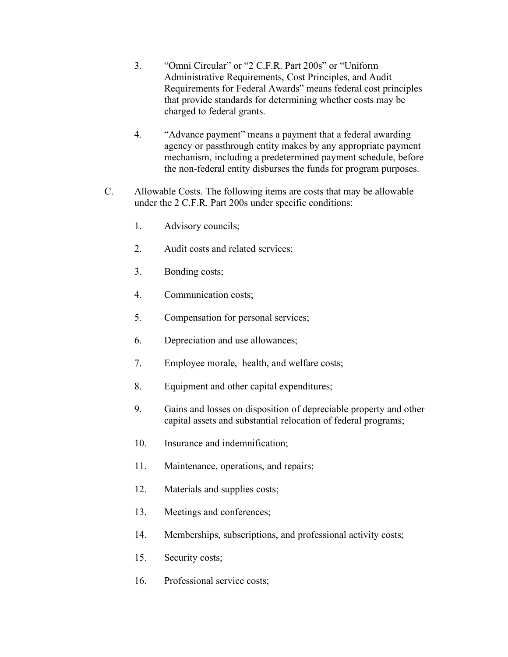- 3. "Omni Circular" or "2 C.F.R. Part 200s" or "Uniform Administrative Requirements, Cost Principles, and Audit Requirements for Federal Awards" means federal cost principles that provide standards for determining whether costs may be charged to federal grants.
- 4. "Advance payment" means a payment that a federal awarding agency or passthrough entity makes by any appropriate payment mechanism, including a predetermined payment schedule, before the non-federal entity disburses the funds for program purposes.
- C. Allowable Costs. The following items are costs that may be allowable under the 2 C.F.R. Part 200s under specific conditions:
	- 1. Advisory councils;
	- 2. Audit costs and related services;
	- 3. Bonding costs;
	- 4. Communication costs;
	- 5. Compensation for personal services;
	- 6. Depreciation and use allowances;
	- 7. Employee morale, health, and welfare costs;
	- 8. Equipment and other capital expenditures;
	- 9. Gains and losses on disposition of depreciable property and other capital assets and substantial relocation of federal programs;
	- 10. Insurance and indemnification;
	- 11. Maintenance, operations, and repairs;
	- 12. Materials and supplies costs;
	- 13. Meetings and conferences;
	- 14. Memberships, subscriptions, and professional activity costs;
	- 15. Security costs;
	- 16. Professional service costs;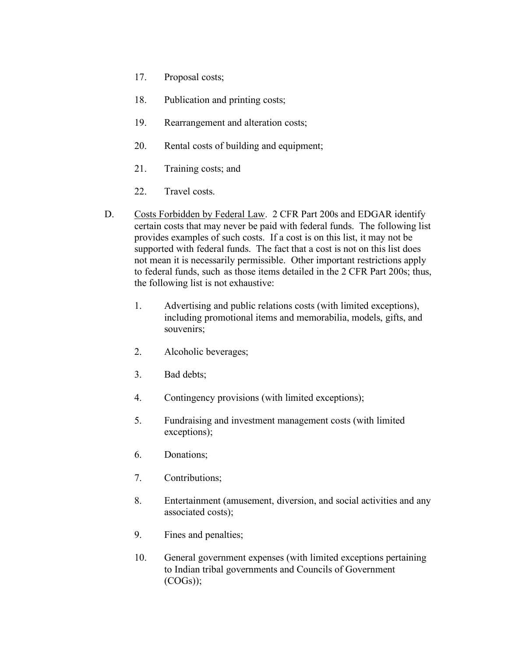- 17. Proposal costs;
- 18. Publication and printing costs;
- 19. Rearrangement and alteration costs;
- 20. Rental costs of building and equipment;
- 21. Training costs; and
- 22. Travel costs.
- D. Costs Forbidden by Federal Law. 2 CFR Part 200s and EDGAR identify certain costs that may never be paid with federal funds. The following list provides examples of such costs. If a cost is on this list, it may not be supported with federal funds. The fact that a cost is not on this list does not mean it is necessarily permissible. Other important restrictions apply to federal funds, such as those items detailed in the 2 CFR Part 200s; thus, the following list is not exhaustive:
	- 1. Advertising and public relations costs (with limited exceptions), including promotional items and memorabilia, models, gifts, and souvenirs;
	- 2. Alcoholic beverages;
	- 3. Bad debts;
	- 4. Contingency provisions (with limited exceptions);
	- 5. Fundraising and investment management costs (with limited exceptions);
	- 6. Donations;
	- 7. Contributions;
	- 8. Entertainment (amusement, diversion, and social activities and any associated costs);
	- 9. Fines and penalties;
	- 10. General government expenses (with limited exceptions pertaining to Indian tribal governments and Councils of Government (COGs));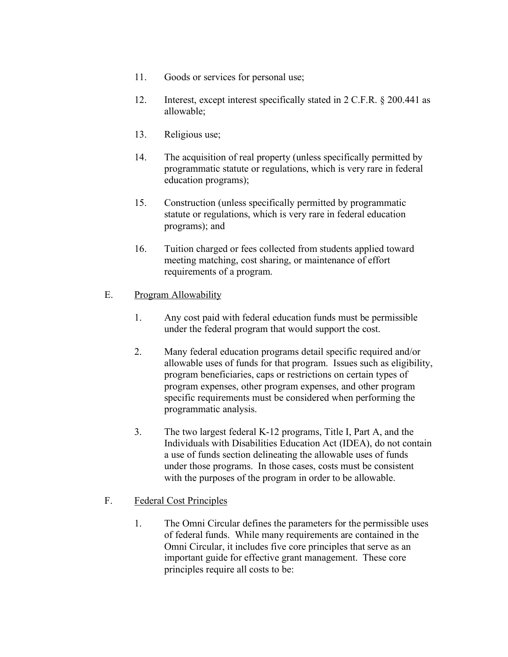- 11. Goods or services for personal use;
- 12. Interest, except interest specifically stated in 2 C.F.R. § 200.441 as allowable;
- 13. Religious use;
- 14. The acquisition of real property (unless specifically permitted by programmatic statute or regulations, which is very rare in federal education programs);
- 15. Construction (unless specifically permitted by programmatic statute or regulations, which is very rare in federal education programs); and
- 16. Tuition charged or fees collected from students applied toward meeting matching, cost sharing, or maintenance of effort requirements of a program.

#### E. Program Allowability

- 1. Any cost paid with federal education funds must be permissible under the federal program that would support the cost.
- 2. Many federal education programs detail specific required and/or allowable uses of funds for that program. Issues such as eligibility, program beneficiaries, caps or restrictions on certain types of program expenses, other program expenses, and other program specific requirements must be considered when performing the programmatic analysis.
- 3. The two largest federal K-12 programs, Title I, Part A, and the Individuals with Disabilities Education Act (IDEA), do not contain a use of funds section delineating the allowable uses of funds under those programs. In those cases, costs must be consistent with the purposes of the program in order to be allowable.

### F. Federal Cost Principles

1. The Omni Circular defines the parameters for the permissible uses of federal funds. While many requirements are contained in the Omni Circular, it includes five core principles that serve as an important guide for effective grant management. These core principles require all costs to be: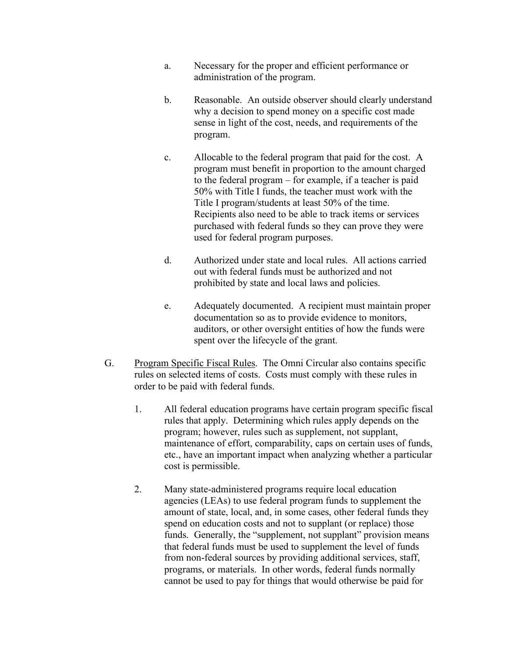- a. Necessary for the proper and efficient performance or administration of the program.
- b. Reasonable. An outside observer should clearly understand why a decision to spend money on a specific cost made sense in light of the cost, needs, and requirements of the program.
- c. Allocable to the federal program that paid for the cost. A program must benefit in proportion to the amount charged to the federal program – for example, if a teacher is paid 50% with Title I funds, the teacher must work with the Title I program/students at least 50% of the time. Recipients also need to be able to track items or services purchased with federal funds so they can prove they were used for federal program purposes.
- d. Authorized under state and local rules. All actions carried out with federal funds must be authorized and not prohibited by state and local laws and policies.
- e. Adequately documented. A recipient must maintain proper documentation so as to provide evidence to monitors, auditors, or other oversight entities of how the funds were spent over the lifecycle of the grant.
- G. Program Specific Fiscal Rules. The Omni Circular also contains specific rules on selected items of costs. Costs must comply with these rules in order to be paid with federal funds.
	- 1. All federal education programs have certain program specific fiscal rules that apply. Determining which rules apply depends on the program; however, rules such as supplement, not supplant, maintenance of effort, comparability, caps on certain uses of funds, etc., have an important impact when analyzing whether a particular cost is permissible.
	- 2. Many state-administered programs require local education agencies (LEAs) to use federal program funds to supplement the amount of state, local, and, in some cases, other federal funds they spend on education costs and not to supplant (or replace) those funds. Generally, the "supplement, not supplant" provision means that federal funds must be used to supplement the level of funds from non-federal sources by providing additional services, staff, programs, or materials. In other words, federal funds normally cannot be used to pay for things that would otherwise be paid for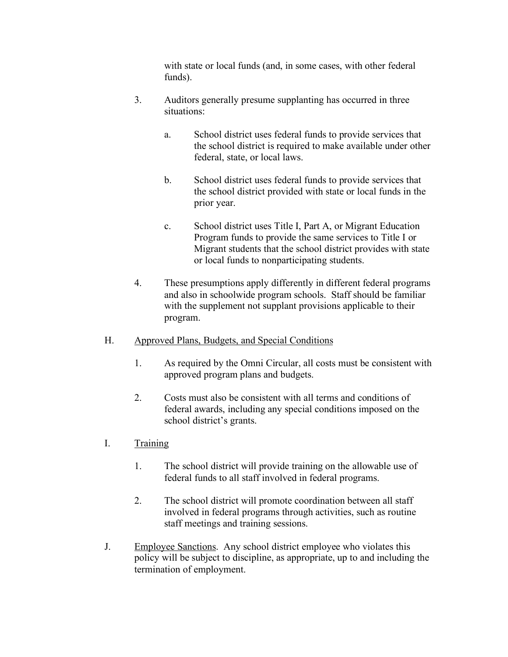with state or local funds (and, in some cases, with other federal funds).

- 3. Auditors generally presume supplanting has occurred in three situations:
	- a. School district uses federal funds to provide services that the school district is required to make available under other federal, state, or local laws.
	- b. School district uses federal funds to provide services that the school district provided with state or local funds in the prior year.
	- c. School district uses Title I, Part A, or Migrant Education Program funds to provide the same services to Title I or Migrant students that the school district provides with state or local funds to nonparticipating students.
- 4. These presumptions apply differently in different federal programs and also in schoolwide program schools. Staff should be familiar with the supplement not supplant provisions applicable to their program.
- H. Approved Plans, Budgets, and Special Conditions
	- 1. As required by the Omni Circular, all costs must be consistent with approved program plans and budgets.
	- 2. Costs must also be consistent with all terms and conditions of federal awards, including any special conditions imposed on the school district's grants.
- I. Training
	- 1. The school district will provide training on the allowable use of federal funds to all staff involved in federal programs.
	- 2. The school district will promote coordination between all staff involved in federal programs through activities, such as routine staff meetings and training sessions.
- J. Employee Sanctions. Any school district employee who violates this policy will be subject to discipline, as appropriate, up to and including the termination of employment.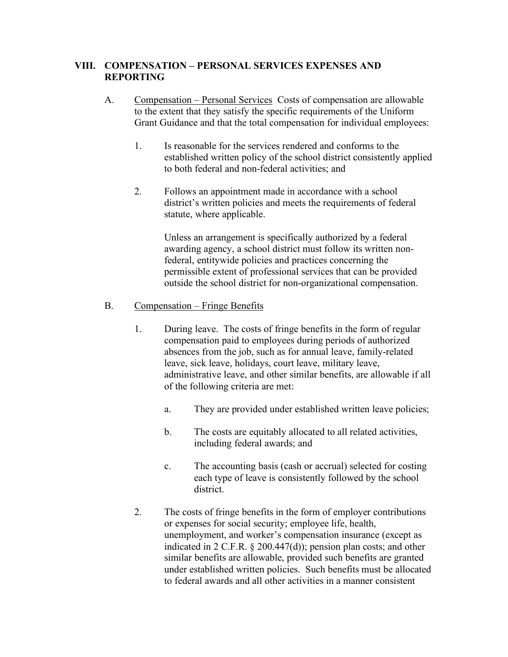### **VIII. COMPENSATION – PERSONAL SERVICES EXPENSES AND REPORTING**

- A. Compensation Personal Services Costs of compensation are allowable to the extent that they satisfy the specific requirements of the Uniform Grant Guidance and that the total compensation for individual employees:
	- 1. Is reasonable for the services rendered and conforms to the established written policy of the school district consistently applied to both federal and non-federal activities; and
	- 2. Follows an appointment made in accordance with a school district's written policies and meets the requirements of federal statute, where applicable.

Unless an arrangement is specifically authorized by a federal awarding agency, a school district must follow its written nonfederal, entitywide policies and practices concerning the permissible extent of professional services that can be provided outside the school district for non-organizational compensation.

#### B. Compensation – Fringe Benefits

- 1. During leave. The costs of fringe benefits in the form of regular compensation paid to employees during periods of authorized absences from the job, such as for annual leave, family-related leave, sick leave, holidays, court leave, military leave, administrative leave, and other similar benefits, are allowable if all of the following criteria are met:
	- a. They are provided under established written leave policies;
	- b. The costs are equitably allocated to all related activities, including federal awards; and
	- c. The accounting basis (cash or accrual) selected for costing each type of leave is consistently followed by the school district.
- 2. The costs of fringe benefits in the form of employer contributions or expenses for social security; employee life, health, unemployment, and worker's compensation insurance (except as indicated in 2 C.F.R. § 200.447(d)); pension plan costs; and other similar benefits are allowable, provided such benefits are granted under established written policies. Such benefits must be allocated to federal awards and all other activities in a manner consistent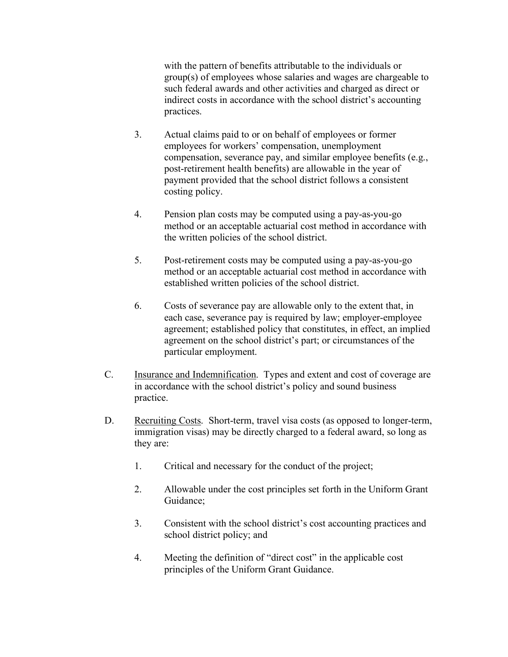with the pattern of benefits attributable to the individuals or group(s) of employees whose salaries and wages are chargeable to such federal awards and other activities and charged as direct or indirect costs in accordance with the school district's accounting practices.

- 3. Actual claims paid to or on behalf of employees or former employees for workers' compensation, unemployment compensation, severance pay, and similar employee benefits (e.g., post-retirement health benefits) are allowable in the year of payment provided that the school district follows a consistent costing policy.
- 4. Pension plan costs may be computed using a pay-as-you-go method or an acceptable actuarial cost method in accordance with the written policies of the school district.
- 5. Post-retirement costs may be computed using a pay-as-you-go method or an acceptable actuarial cost method in accordance with established written policies of the school district.
- 6. Costs of severance pay are allowable only to the extent that, in each case, severance pay is required by law; employer-employee agreement; established policy that constitutes, in effect, an implied agreement on the school district's part; or circumstances of the particular employment.
- C. Insurance and Indemnification. Types and extent and cost of coverage are in accordance with the school district's policy and sound business practice.
- D. Recruiting Costs. Short-term, travel visa costs (as opposed to longer-term, immigration visas) may be directly charged to a federal award, so long as they are:
	- 1. Critical and necessary for the conduct of the project;
	- 2. Allowable under the cost principles set forth in the Uniform Grant Guidance;
	- 3. Consistent with the school district's cost accounting practices and school district policy; and
	- 4. Meeting the definition of "direct cost" in the applicable cost principles of the Uniform Grant Guidance.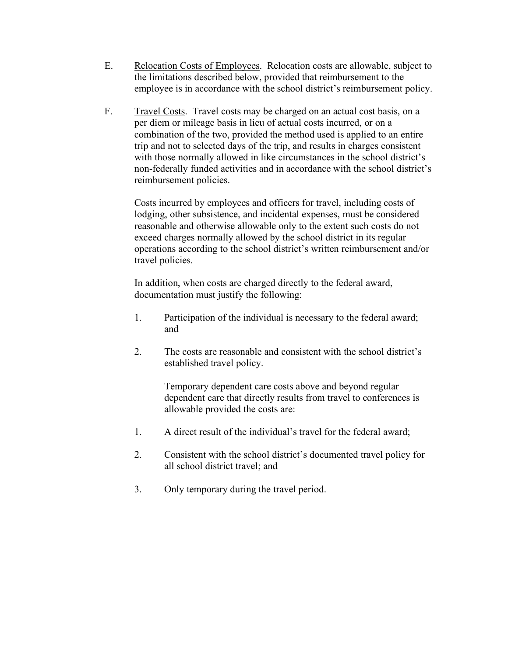- E. Relocation Costs of Employees. Relocation costs are allowable, subject to the limitations described below, provided that reimbursement to the employee is in accordance with the school district's reimbursement policy.
- F. Travel Costs. Travel costs may be charged on an actual cost basis, on a per diem or mileage basis in lieu of actual costs incurred, or on a combination of the two, provided the method used is applied to an entire trip and not to selected days of the trip, and results in charges consistent with those normally allowed in like circumstances in the school district's non-federally funded activities and in accordance with the school district's reimbursement policies.

Costs incurred by employees and officers for travel, including costs of lodging, other subsistence, and incidental expenses, must be considered reasonable and otherwise allowable only to the extent such costs do not exceed charges normally allowed by the school district in its regular operations according to the school district's written reimbursement and/or travel policies.

In addition, when costs are charged directly to the federal award, documentation must justify the following:

- 1. Participation of the individual is necessary to the federal award; and
- 2. The costs are reasonable and consistent with the school district's established travel policy.

Temporary dependent care costs above and beyond regular dependent care that directly results from travel to conferences is allowable provided the costs are:

- 1. A direct result of the individual's travel for the federal award;
- 2. Consistent with the school district's documented travel policy for all school district travel; and
- 3. Only temporary during the travel period.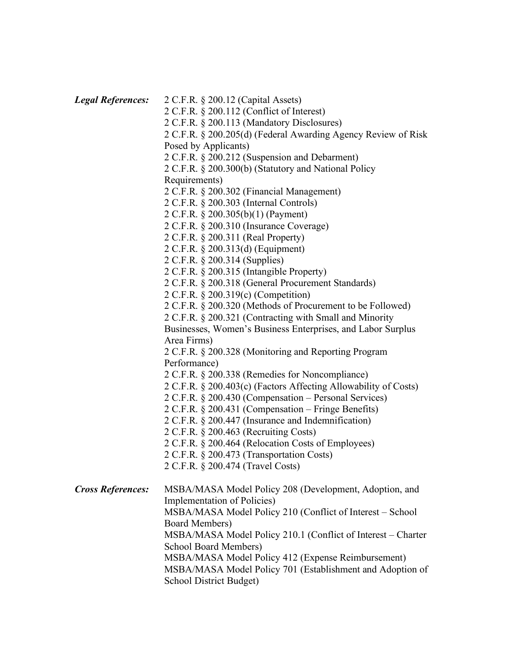| <b>Legal References:</b> | 2 C.F.R. § 200.12 (Capital Assets)                              |
|--------------------------|-----------------------------------------------------------------|
|                          | 2 C.F.R. § 200.112 (Conflict of Interest)                       |
|                          | 2 C.F.R. § 200.113 (Mandatory Disclosures)                      |
|                          | 2 C.F.R. § 200.205(d) (Federal Awarding Agency Review of Risk   |
|                          | Posed by Applicants)                                            |
|                          | 2 C.F.R. § 200.212 (Suspension and Debarment)                   |
|                          | 2 C.F.R. § 200.300(b) (Statutory and National Policy            |
|                          | Requirements)                                                   |
|                          | 2 C.F.R. § 200.302 (Financial Management)                       |
|                          | 2 C.F.R. § 200.303 (Internal Controls)                          |
|                          | 2 C.F.R. § 200.305(b)(1) (Payment)                              |
|                          | 2 C.F.R. § 200.310 (Insurance Coverage)                         |
|                          | 2 C.F.R. § 200.311 (Real Property)                              |
|                          | 2 C.F.R. § 200.313(d) (Equipment)                               |
|                          | 2 C.F.R. § 200.314 (Supplies)                                   |
|                          | 2 C.F.R. § 200.315 (Intangible Property)                        |
|                          | 2 C.F.R. § 200.318 (General Procurement Standards)              |
|                          | 2 C.F.R. § 200.319(c) (Competition)                             |
|                          | 2 C.F.R. § 200.320 (Methods of Procurement to be Followed)      |
|                          | 2 C.F.R. § 200.321 (Contracting with Small and Minority         |
|                          | Businesses, Women's Business Enterprises, and Labor Surplus     |
|                          | Area Firms)                                                     |
|                          | 2 C.F.R. § 200.328 (Monitoring and Reporting Program            |
|                          | Performance)                                                    |
|                          | 2 C.F.R. § 200.338 (Remedies for Noncompliance)                 |
|                          | 2 C.F.R. § 200.403(c) (Factors Affecting Allowability of Costs) |
|                          | 2 C.F.R. § 200.430 (Compensation - Personal Services)           |
|                          | 2 C.F.R. § 200.431 (Compensation - Fringe Benefits)             |
|                          | 2 C.F.R. § 200.447 (Insurance and Indemnification)              |
|                          | 2 C.F.R. § 200.463 (Recruiting Costs)                           |
|                          | 2 C.F.R. § 200.464 (Relocation Costs of Employees)              |
|                          | 2 C.F.R. § 200.473 (Transportation Costs)                       |
|                          | 2 C.F.R. § 200.474 (Travel Costs)                               |
| <b>Cross References:</b> | MSBA/MASA Model Policy 208 (Development, Adoption, and          |
|                          | <b>Implementation of Policies</b> )                             |
|                          | MSBA/MASA Model Policy 210 (Conflict of Interest – School       |
|                          | <b>Board Members)</b>                                           |
|                          | MSBA/MASA Model Policy 210.1 (Conflict of Interest – Charter    |
|                          | School Board Members)                                           |
|                          | MSBA/MASA Model Policy 412 (Expense Reimbursement)              |
|                          | MSBA/MASA Model Policy 701 (Establishment and Adoption of       |
|                          | School District Budget)                                         |